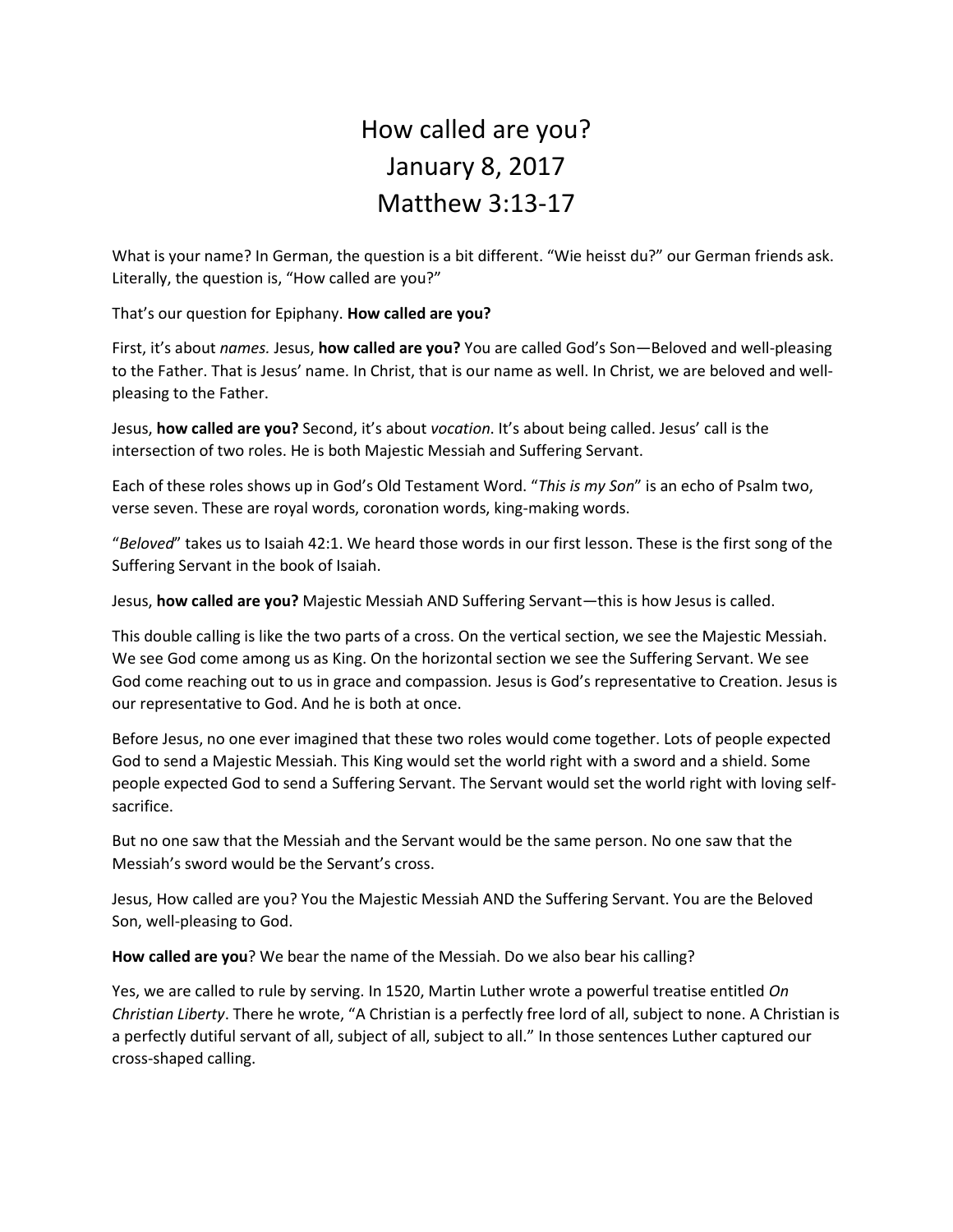## How called are you? January 8, 2017 Matthew 3:13-17

What is your name? In German, the question is a bit different. "Wie heisst du?" our German friends ask. Literally, the question is, "How called are you?"

That's our question for Epiphany. **How called are you?**

First, it's about *names.* Jesus, **how called are you?** You are called God's Son—Beloved and well-pleasing to the Father. That is Jesus' name. In Christ, that is our name as well. In Christ, we are beloved and wellpleasing to the Father.

Jesus, **how called are you?** Second, it's about *vocation*. It's about being called. Jesus' call is the intersection of two roles. He is both Majestic Messiah and Suffering Servant.

Each of these roles shows up in God's Old Testament Word. "*This is my Son*" is an echo of Psalm two, verse seven. These are royal words, coronation words, king-making words.

"*Beloved*" takes us to Isaiah 42:1. We heard those words in our first lesson. These is the first song of the Suffering Servant in the book of Isaiah.

Jesus, **how called are you?** Majestic Messiah AND Suffering Servant—this is how Jesus is called.

This double calling is like the two parts of a cross. On the vertical section, we see the Majestic Messiah. We see God come among us as King. On the horizontal section we see the Suffering Servant. We see God come reaching out to us in grace and compassion. Jesus is God's representative to Creation. Jesus is our representative to God. And he is both at once.

Before Jesus, no one ever imagined that these two roles would come together. Lots of people expected God to send a Majestic Messiah. This King would set the world right with a sword and a shield. Some people expected God to send a Suffering Servant. The Servant would set the world right with loving selfsacrifice.

But no one saw that the Messiah and the Servant would be the same person. No one saw that the Messiah's sword would be the Servant's cross.

Jesus, How called are you? You the Majestic Messiah AND the Suffering Servant. You are the Beloved Son, well-pleasing to God.

**How called are you**? We bear the name of the Messiah. Do we also bear his calling?

Yes, we are called to rule by serving. In 1520, Martin Luther wrote a powerful treatise entitled *On Christian Liberty*. There he wrote, "A Christian is a perfectly free lord of all, subject to none. A Christian is a perfectly dutiful servant of all, subject of all, subject to all." In those sentences Luther captured our cross-shaped calling.